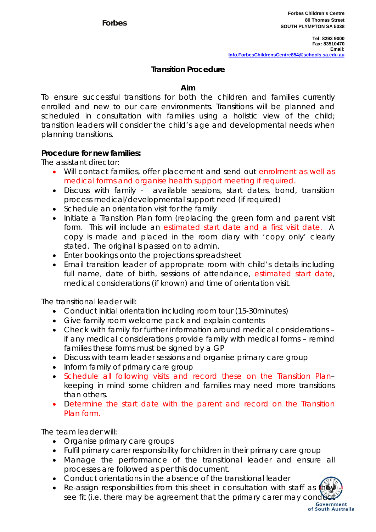## **Transition Procedure**

## **Aim**

To ensure successful transitions for both the children and families currently enrolled and new to our care environments. Transitions will be planned and scheduled in consultation with families using a holistic view of the child; transition leaders will consider the child's age and developmental needs when planning transitions.

## **Procedure for new families:**

The assistant director:

- Will contact families, offer placement and send out enrolment as well as medical forms and organise health support meeting if required.
- Discuss with family available sessions, start dates, bond, transition process medical/developmental support need (if required)
- Schedule an orientation visit for the family
- Initiate a Transition Plan form (replacing the green form and parent visit form. This will include an estimated start date and a first visit date. A copy is made and placed in the room diary with 'copy only' clearly stated. The original is passed on to admin.
- Enter bookings onto the projections spreadsheet
- Email transition leader of appropriate room with child's details including full name, date of birth, sessions of attendance, estimated start date, medical considerations (if known) and time of orientation visit.

The transitional leader will:

- Conduct initial orientation including room tour (15-30minutes)
- Give family room welcome pack and explain contents
- Check with family for further information around medical considerations if any medical considerations provide family with medical forms – remind families these forms must be signed by a GP
- Discuss with team leader sessions and organise primary care group
- Inform family of primary care group
- Schedule all following visits and record these on the Transition Plankeeping in mind some children and families may need more transitions than others.
- Determine the start date with the parent and record on the Transition Plan form.

The team leader will:

- Organise primary care groups
- Fulfil primary carer responsibility for children in their primary care group
- Manage the performance of the transitional leader and ensure all processes are followed as per this document.
- Conduct orientations in the absence of the transitional leader
- Re-assign responsibilities from this sheet in consultation with staff as see fit (i.e. there may be agreement that the primary carer may conduct

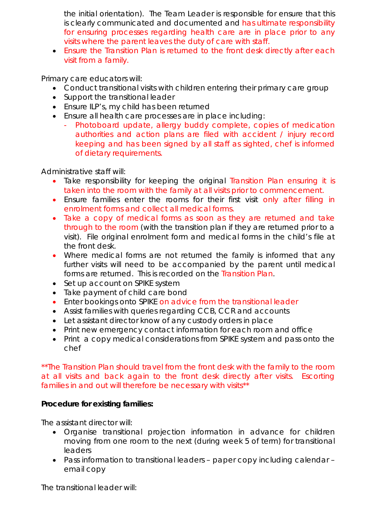the initial orientation). The Team Leader is responsible for ensure that this is clearly communicated and documented and has ultimate responsibility for ensuring processes regarding health care are in place prior to any visits where the parent leaves the duty of care with staff.

 Ensure the Transition Plan is returned to the front desk directly after each visit from a family.

Primary care educators will:

- Conduct transitional visits with children entering their primary care group
- Support the transitional leader
- Ensure ILP's, my child has been returned
- Ensure all health care processes are in place including:
	- Photoboard update, allergy buddy complete, copies of medication authorities and action plans are filed with accident / injury record keeping and has been signed by all staff as sighted, chef is informed of dietary requirements.

Administrative staff will:

- Take responsibility for keeping the original Transition Plan ensuring it is taken into the room with the family at all visits prior to commencement.
- Ensure families enter the rooms for their first visit only after filling in enrolment forms and collect all medical forms.
- Take a copy of medical forms as soon as they are returned and take through to the room (with the transition plan if they are returned prior to a visit). File original enrolment form and medical forms in the child's file at the front desk.
- Where medical forms are not returned the family is informed that any further visits will need to be accompanied by the parent until medical forms are returned. This is recorded on the Transition Plan.
- Set up account on SPIKE system
- Take payment of child care bond
- Enter bookings onto SPIKE on advice from the transitional leader
- Assist families with queries regarding CCB, CCR and accounts
- Let assistant director know of any custody orders in place
- Print new emergency contact information for each room and office
- Print a copy medical considerations from SPIKE system and pass onto the chef

\*\*The Transition Plan should travel from the front desk with the family to the room at all visits and back again to the front desk directly after visits. Escorting families in and out will therefore be necessary with visits\*\*

## **Procedure for existing families:**

The assistant director will:

- Organise transitional projection information in advance for children moving from one room to the next (during week 5 of term) for transitional leaders
- Pass information to transitional leaders paper copy including calendar email copy

The transitional leader will: